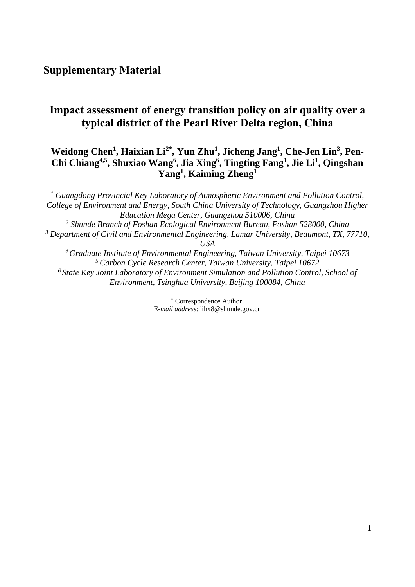## **Impact assessment of energy transition policy on air quality over a typical district of the Pearl River Delta region, China**

## **Weidong Chen<sup>1</sup> , Haixian Li2\*, Yun Zhu<sup>1</sup> , Jicheng Jang<sup>1</sup> , Che-Jen Lin<sup>3</sup> , Pen-Chi Chiang4,5 , Shuxiao Wang<sup>6</sup> , Jia Xing<sup>6</sup> , Tingting Fang<sup>1</sup> , Jie Li<sup>1</sup> , Qingshan Yang<sup>1</sup> , Kaiming Zheng<sup>1</sup>**

*<sup>1</sup> Guangdong Provincial Key Laboratory of Atmospheric Environment and Pollution Control, College of Environment and Energy, South China University of Technology, Guangzhou Higher Education Mega Center, Guangzhou 510006, China <sup>2</sup> Shunde Branch of Foshan Ecological Environment Bureau, Foshan 528000, China <sup>3</sup> Department of Civil and Environmental Engineering, Lamar University, Beaumont, TX, 77710, USA <sup>4</sup>Graduate Institute of Environmental Engineering, Taiwan University, Taipei 10673 <sup>5</sup>Carbon Cycle Research Center, Taiwan University, Taipei 10672 <sup>6</sup>State Key Joint Laboratory of Environment Simulation and Pollution Control, School of Environment, Tsinghua University, Beijing 100084, China*

> Correspondence Author. E*-mail address*: lihx8@shunde.gov.cn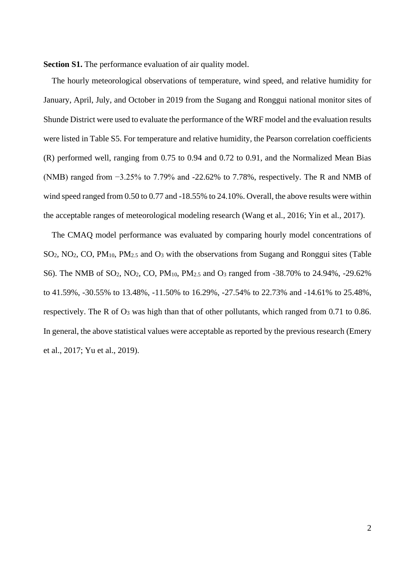**Section S1.** The performance evaluation of air quality model.

The hourly meteorological observations of temperature, wind speed, and relative humidity for January, April, July, and October in 2019 from the Sugang and Ronggui national monitor sites of Shunde District were used to evaluate the performance of the WRF model and the evaluation results were listed in [Table S5.](#page-8-0) For temperature and relative humidity, the Pearson correlation coefficients (R) performed well, ranging from 0.75 to 0.94 and 0.72 to 0.91, and the Normalized Mean Bias (NMB) ranged from −3.25% to 7.79% and -22.62% to 7.78%, respectively. The R and NMB of wind speed ranged from 0.50 to 0.77 and -18.55% to 24.10%. Overall, the above results were within the acceptable ranges of meteorological modeling research [\(Wang et al., 2016;](#page-11-0) [Yin et al., 2017\)](#page-11-1).

The CMAQ model performance was evaluated by comparing hourly model concentrations of SO2, NO2, CO, PM10, PM2.5 and O<sup>3</sup> with the observations from Sugang and Ronggui sites [\(Table](#page-9-0)  [S6\)](#page-9-0). The NMB of SO<sub>2</sub>, NO<sub>2</sub>, CO, PM<sub>10</sub>, PM<sub>2.5</sub> and O<sub>3</sub> ranged from -38.70% to 24.94%, -29.62% to 41.59%, -30.55% to 13.48%, -11.50% to 16.29%, -27.54% to 22.73% and -14.61% to 25.48%, respectively. The R of O<sup>3</sup> was high than that of other pollutants, which ranged from 0.71 to 0.86. In general, the above statistical values were acceptable as reported by the previous research [\(Emery](#page-11-2)  [et al., 2017;](#page-11-2) [Yu et al., 2019\)](#page-11-3).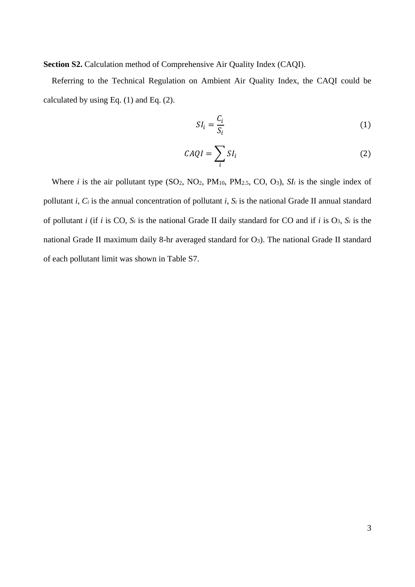**Section S2.** Calculation method of Comprehensive Air Quality Index (CAQI).

Referring to the Technical Regulation on Ambient Air Quality Index, the CAQI could be calculated by using Eq.  $(1)$  and Eq.  $(2)$ .

$$
SI_i = \frac{C_i}{S_i} \tag{1}
$$

$$
CAQI = \sum_{i} SI_i
$$
 (2)

Where *i* is the air pollutant type  $(SO_2, NO_2, PM_{10}, PM_{2.5}, CO, O_3)$ ,  $SI_i$  is the single index of pollutant *i*,  $C_i$  is the annual concentration of pollutant *i*,  $S_i$  is the national Grade II annual standard of pollutant *i* (if *i* is CO, *S<sup>i</sup>* is the national Grade II daily standard for CO and if *i* is O3, *S<sup>i</sup>* is the national Grade II maximum daily 8-hr averaged standard for O<sub>3</sub>). The national Grade II standard of each pollutant limit was shown in [Table S7.](#page-10-0)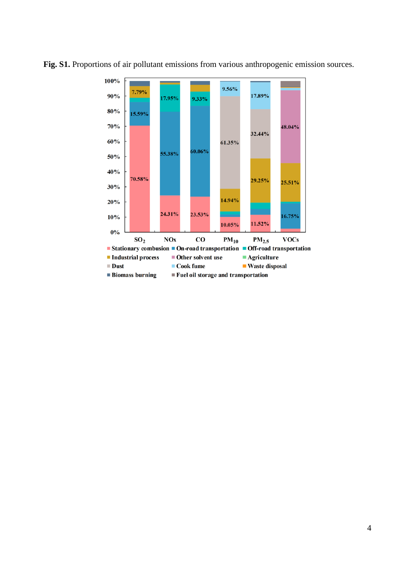

**Fig. S1.** Proportions of air pollutant emissions from various anthropogenic emission sources.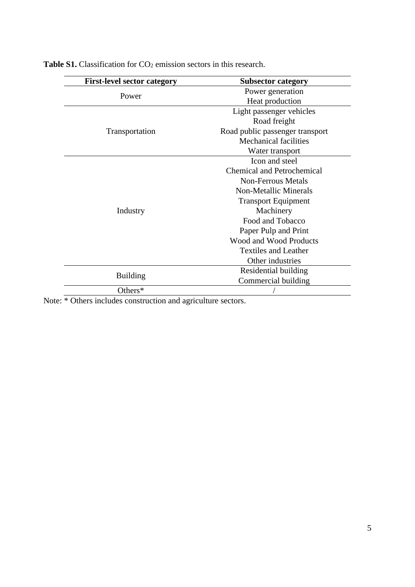| <b>First-level sector category</b> | <b>Subsector category</b>                                  |  |  |  |  |
|------------------------------------|------------------------------------------------------------|--|--|--|--|
| Power                              | Power generation                                           |  |  |  |  |
|                                    | Heat production                                            |  |  |  |  |
|                                    | Light passenger vehicles                                   |  |  |  |  |
|                                    | Road freight                                               |  |  |  |  |
| Transportation                     | Road public passenger transport                            |  |  |  |  |
|                                    | <b>Mechanical facilities</b>                               |  |  |  |  |
|                                    | Water transport                                            |  |  |  |  |
|                                    | Icon and steel                                             |  |  |  |  |
|                                    | <b>Chemical and Petrochemical</b>                          |  |  |  |  |
|                                    | <b>Non-Ferrous Metals</b>                                  |  |  |  |  |
|                                    | <b>Non-Metallic Minerals</b><br><b>Transport Equipment</b> |  |  |  |  |
|                                    |                                                            |  |  |  |  |
| Industry                           | Machinery                                                  |  |  |  |  |
|                                    | Food and Tobacco                                           |  |  |  |  |
|                                    | Paper Pulp and Print                                       |  |  |  |  |
|                                    | <b>Wood and Wood Products</b>                              |  |  |  |  |
|                                    | <b>Textiles and Leather</b>                                |  |  |  |  |
|                                    | Other industries                                           |  |  |  |  |
|                                    | Residential building                                       |  |  |  |  |
| <b>Building</b>                    | Commercial building                                        |  |  |  |  |
| Others*                            |                                                            |  |  |  |  |

Table S1. Classification for CO<sub>2</sub> emission sectors in this research.

Note: \* Others includes construction and agriculture sectors.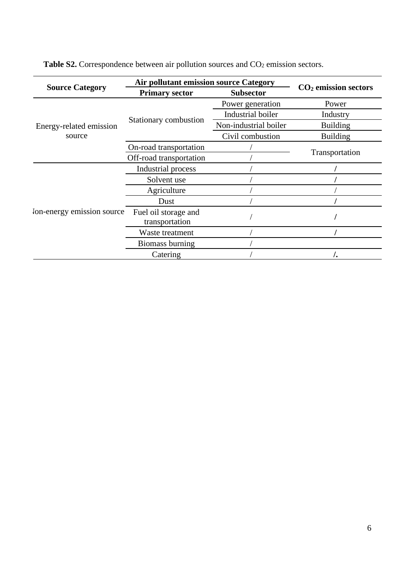|                            | <b>Air pollutant emission source Category</b> |                       |                        |
|----------------------------|-----------------------------------------------|-----------------------|------------------------|
| <b>Source Category</b>     | <b>Primary sector</b>                         | <b>Subsector</b>      | $CO2$ emission sectors |
|                            |                                               | Power generation      | Power                  |
|                            |                                               | Industrial boiler     |                        |
| Energy-related emission    | Stationary combustion                         | Non-industrial boiler | <b>Building</b>        |
| source                     |                                               | Civil combustion      | <b>Building</b>        |
|                            | On-road transportation                        |                       |                        |
|                            | Off-road transportation                       |                       | Transportation         |
|                            | Industrial process                            |                       |                        |
|                            | Solvent use                                   |                       |                        |
|                            | Agriculture                                   |                       |                        |
|                            | Dust                                          |                       |                        |
| Ion-energy emission source | Fuel oil storage and                          |                       |                        |
|                            | transportation                                |                       |                        |
|                            | Waste treatment                               |                       |                        |
|                            | Biomass burning                               |                       |                        |
|                            | Catering                                      |                       |                        |

Table S2. Correspondence between air pollution sources and CO<sub>2</sub> emission sectors.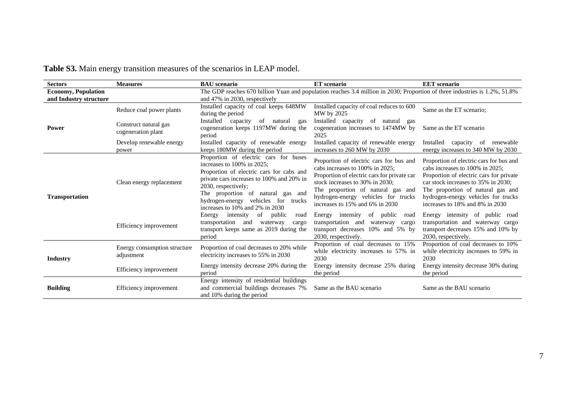| <b>Sectors</b>             | <b>Measures</b>                                                              | <b>BAU</b> scenario                                                                                                                                                                                                                                                                                | <b>ET</b> scenario                                                                                                                              | <b>EET</b> scenario                                                                                                                                                                                                                                                         |  |  |  |
|----------------------------|------------------------------------------------------------------------------|----------------------------------------------------------------------------------------------------------------------------------------------------------------------------------------------------------------------------------------------------------------------------------------------------|-------------------------------------------------------------------------------------------------------------------------------------------------|-----------------------------------------------------------------------------------------------------------------------------------------------------------------------------------------------------------------------------------------------------------------------------|--|--|--|
| <b>Economy, Population</b> |                                                                              | The GDP reaches 670 billion Yuan and population reaches 3.4 million in 2030; Proportion of three industries is 1.2%, 51.8%                                                                                                                                                                         |                                                                                                                                                 |                                                                                                                                                                                                                                                                             |  |  |  |
| and Industry structure     |                                                                              | and 47% in 2030, respectively                                                                                                                                                                                                                                                                      |                                                                                                                                                 |                                                                                                                                                                                                                                                                             |  |  |  |
|                            | Reduce coal power plants                                                     | Installed capacity of coal keeps 648MW<br>during the period                                                                                                                                                                                                                                        | Installed capacity of coal reduces to 600<br>MW by 2025                                                                                         | Same as the ET scenario:                                                                                                                                                                                                                                                    |  |  |  |
| Power                      | Construct natural gas<br>cogeneration plant                                  | Installed<br>capacity<br>of<br>natural<br>gas<br>cogeneration keeps 1197MW during the<br>period                                                                                                                                                                                                    | Installed capacity of natural gas<br>cogeneration increases to 1474MW by<br>2025                                                                | Same as the ET scenario                                                                                                                                                                                                                                                     |  |  |  |
|                            | Develop renewable energy<br>power                                            | Installed capacity of renewable energy<br>keeps 180MW during the period                                                                                                                                                                                                                            | Installed capacity of renewable energy<br>increases to 260 MW by 2030                                                                           | Installed<br>capacity of renewable<br>energy increases to 340 MW by 2030                                                                                                                                                                                                    |  |  |  |
| <b>Transportation</b>      | Clean energy replacement                                                     | Proportion of electric cars for buses<br>increases to 100% in 2025:<br>Proportion of electric cars for cabs and<br>private cars increases to 100% and 20% in<br>2030, respectively;<br>The proportion of natural gas and<br>hydrogen-energy vehicles for trucks<br>increases to 10% and 2% in 2030 |                                                                                                                                                 | Proportion of electric cars for bus and<br>cabs increases to 100% in 2025:<br>Proportion of electric cars for private<br>car stock increases to 35% in 2030:<br>The proportion of natural gas and<br>hydrogen-energy vehicles for trucks<br>increases to 18% and 8% in 2030 |  |  |  |
|                            | Efficiency improvement                                                       | of<br>public<br>Energy<br>intensity<br>road<br>transportation<br>and<br>waterway<br>cargo<br>transport keeps same as 2019 during the<br>period                                                                                                                                                     | of<br>public<br>Energy intensity<br>road<br>transportation and<br>waterway<br>cargo<br>transport decreases 10% and 5% by<br>2030, respectively. | Energy intensity of public road<br>transportation and waterway cargo<br>transport decreases 15% and 10% by<br>2030, respectively.                                                                                                                                           |  |  |  |
| Industry                   | Energy consumption structure<br>adjustment                                   | Proportion of coal decreases to 20% while<br>electricity increases to 55% in 2030                                                                                                                                                                                                                  | Proportion of coal decreases to 15%<br>while electricity increases to 57% in<br>2030                                                            | Proportion of coal decreases to 10%<br>while electricity increases to 59% in<br>2030                                                                                                                                                                                        |  |  |  |
|                            | Energy intensity decrease 20% during the<br>Efficiency improvement<br>period |                                                                                                                                                                                                                                                                                                    | Energy intensity decrease 25% during<br>the period                                                                                              | Energy intensity decrease 30% during<br>the period                                                                                                                                                                                                                          |  |  |  |
| <b>Building</b>            | Efficiency improvement                                                       | Energy intensity of residential buildings<br>and commercial buildings decreases 7%<br>and 10% during the period                                                                                                                                                                                    | Same as the BAU scenario                                                                                                                        | Same as the BAU scenario                                                                                                                                                                                                                                                    |  |  |  |

**Table S3.** Main energy transition measures of the scenarios in LEAP model.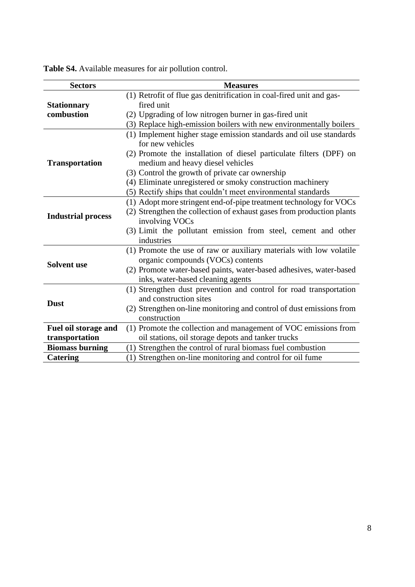| <b>Table S4.</b> Available measures for air pollution control. |
|----------------------------------------------------------------|
|                                                                |

| <b>Sectors</b>            | <b>Measures</b>                                                       |
|---------------------------|-----------------------------------------------------------------------|
|                           | (1) Retrofit of flue gas denitrification in coal-fired unit and gas-  |
| <b>Stationnary</b>        | fired unit                                                            |
| combustion                | (2) Upgrading of low nitrogen burner in gas-fired unit                |
|                           | (3) Replace high-emission boilers with new environmentally boilers    |
|                           | (1) Implement higher stage emission standards and oil use standards   |
|                           | for new vehicles                                                      |
|                           | (2) Promote the installation of diesel particulate filters (DPF) on   |
| <b>Transportation</b>     | medium and heavy diesel vehicles                                      |
|                           | (3) Control the growth of private car ownership                       |
|                           | (4) Eliminate unregistered or smoky construction machinery            |
|                           | (5) Rectify ships that couldn't meet environmental standards          |
|                           | (1) Adopt more stringent end-of-pipe treatment technology for VOCs    |
|                           | (2) Strengthen the collection of exhaust gases from production plants |
| <b>Industrial process</b> | involving VOCs                                                        |
|                           | (3) Limit the pollutant emission from steel, cement and other         |
|                           | industries                                                            |
|                           | (1) Promote the use of raw or auxiliary materials with low volatile   |
| <b>Solvent</b> use        | organic compounds (VOCs) contents                                     |
|                           | (2) Promote water-based paints, water-based adhesives, water-based    |
|                           | inks, water-based cleaning agents                                     |
|                           | (1) Strengthen dust prevention and control for road transportation    |
| <b>Dust</b>               | and construction sites                                                |
|                           | (2) Strengthen on-line monitoring and control of dust emissions from  |
|                           | construction                                                          |
| Fuel oil storage and      | (1) Promote the collection and management of VOC emissions from       |
| transportation            | oil stations, oil storage depots and tanker trucks                    |
| <b>Biomass burning</b>    | (1) Strengthen the control of rural biomass fuel combustion           |
| <b>Catering</b>           | (1) Strengthen on-line monitoring and control for oil fume            |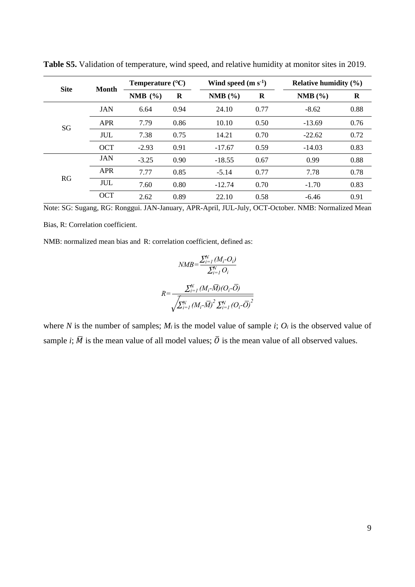| <b>Site</b> | <b>Month</b> | Temperature $(^{\circ}C)$ |          | Wind speed $(m s-1)$ |      | Relative humidity $(\% )$ |      |  |
|-------------|--------------|---------------------------|----------|----------------------|------|---------------------------|------|--|
|             |              | NMB $(\% )$               | $\bf{R}$ | NMB(%)               | R    | NMB(%)                    | R    |  |
|             | <b>JAN</b>   | 6.64                      | 0.94     | 24.10                | 0.77 | $-8.62$                   | 0.88 |  |
| SG          | <b>APR</b>   | 7.79                      | 0.86     | 10.10                | 0.50 | $-13.69$                  | 0.76 |  |
|             | <b>JUL</b>   | 7.38                      | 0.75     | 14.21                | 0.70 | $-22.62$                  | 0.72 |  |
|             | <b>OCT</b>   | $-2.93$                   | 0.91     | $-17.67$             | 0.59 | $-14.03$                  | 0.83 |  |
|             | <b>JAN</b>   | $-3.25$                   | 0.90     | $-18.55$             | 0.67 | 0.99                      | 0.88 |  |
| RG          | <b>APR</b>   | 7.77                      | 0.85     | $-5.14$              | 0.77 | 7.78                      | 0.78 |  |
|             | <b>JUL</b>   | 7.60                      | 0.80     | $-12.74$             | 0.70 | $-1.70$                   | 0.83 |  |
|             | <b>OCT</b>   | 2.62                      | 0.89     | 22.10                | 0.58 | $-6.46$                   | 0.91 |  |

<span id="page-8-0"></span>**Table S5.** Validation of temperature, wind speed, and relative humidity at monitor sites in 2019.

Note: SG: Sugang, RG: Ronggui. JAN-January, APR-April, JUL-July, OCT-October. NMB: Normalized Mean

Bias, R: Correlation coefficient.

NMB: normalized mean bias and R: correlation coefficient, defined as:

$$
NMB = \frac{\sum_{i=1}^{N} (M_i - O_i)}{\sum_{i=1}^{N} O_i}
$$

$$
R = \frac{\sum_{i=1}^{N} (M_i - \overline{M})(O_i - \overline{O})}{\sqrt{\sum_{i=1}^{N} (M_i - \overline{M})^2 \sum_{i=1}^{N} (O_i - \overline{O})^2}}
$$

where *N* is the number of samples;  $M_i$  is the model value of sample *i*;  $O_i$  is the observed value of sample *i*;  $\overline{M}$  is the mean value of all model values;  $\overline{O}$  is the mean value of all observed values.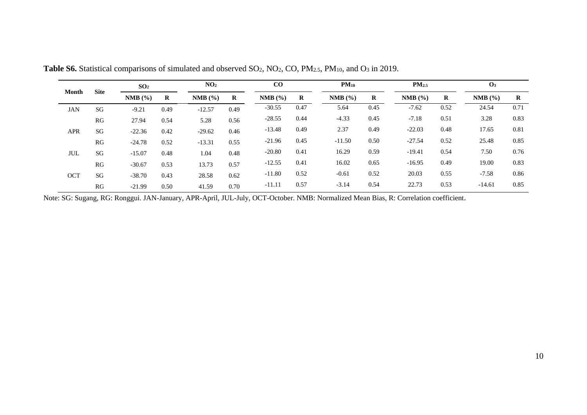|            |             |               | SO <sub>2</sub> |           | NO <sub>2</sub> |          | CO   |          | $PM_{10}$ |               | PM <sub>2.5</sub> |               |          |
|------------|-------------|---------------|-----------------|-----------|-----------------|----------|------|----------|-----------|---------------|-------------------|---------------|----------|
| Month      | <b>Site</b> | $NMB$ $(\% )$ | R               | $NMB$ $%$ | $\bf{R}$        | NMB(%)   | R    |          | $\bf R$   | $NMB$ $(\% )$ | R                 | $NMB$ $(\% )$ | $\bf{R}$ |
| <b>JAN</b> | SG          | $-9.21$       | 0.49            | $-12.57$  | 0.49            | $-30.55$ | 0.47 | 5.64     | 0.45      | $-7.62$       | 0.52              | 24.54         | 0.71     |
|            | RG          | 27.94         | 0.54            | 5.28      | 0.56            | $-28.55$ | 0.44 | $-4.33$  | 0.45      | $-7.18$       | 0.51              | 3.28          | 0.83     |
| <b>APR</b> | SG          | $-22.36$      | 0.42            | $-29.62$  | 0.46            | $-13.48$ | 0.49 | 2.37     | 0.49      | $-22.03$      | 0.48              | 17.65         | 0.81     |
|            | RG          | $-24.78$      | 0.52            | $-13.31$  | 0.55            | $-21.96$ | 0.45 | $-11.50$ | 0.50      | $-27.54$      | 0.52              | 25.48         | 0.85     |
| JUL        | SG          | $-15.07$      | 0.48            | 1.04      | 0.48            | $-20.80$ | 0.41 | 16.29    | 0.59      | $-19.41$      | 0.54              | 7.50          | 0.76     |
|            | RG          | $-30.67$      | 0.53            | 13.73     | 0.57            | $-12.55$ | 0.41 | 16.02    | 0.65      | $-16.95$      | 0.49              | 19.00         | 0.83     |
| <b>OCT</b> | SG          | $-38.70$      | 0.43            | 28.58     | 0.62            | $-11.80$ | 0.52 | $-0.61$  | 0.52      | 20.03         | 0.55              | $-7.58$       | 0.86     |
|            | RG          | $-21.99$      | 0.50            | 41.59     | 0.70            | $-11.11$ | 0.57 | $-3.14$  | 0.54      | 22.73         | 0.53              | $-14.61$      | 0.85     |

Table S6. Statistical comparisons of simulated and observed SO<sub>2</sub>, NO<sub>2</sub>, CO, PM<sub>2.5</sub>, PM<sub>10</sub>, and O<sub>3</sub> in 2019.

<span id="page-9-0"></span>Note: SG: Sugang, RG: Ronggui. JAN-January, APR-April, JUL-July, OCT-October. NMB: Normalized Mean Bias, R: Correlation coefficient.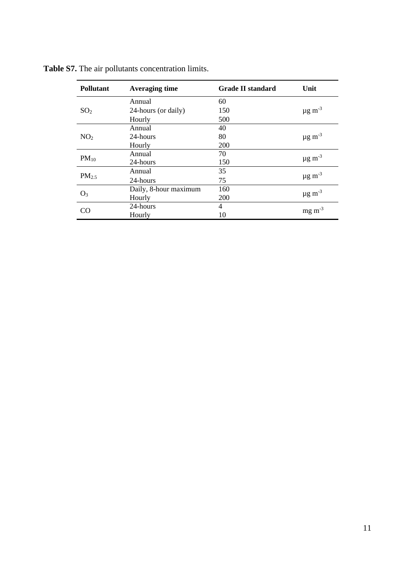| Pollutant         | <b>Averaging time</b> | <b>Grade II standard</b> | Unit                    |
|-------------------|-----------------------|--------------------------|-------------------------|
|                   | Annual                | 60                       |                         |
| SO <sub>2</sub>   | 24-hours (or daily)   | 150                      | $\mu$ g m <sup>-3</sup> |
|                   | Hourly                | 500                      |                         |
|                   | Annual                | 40                       |                         |
| NO <sub>2</sub>   | 24-hours              | 80                       | $\mu$ g m <sup>-3</sup> |
|                   | Hourly                | 200                      |                         |
| $PM_{10}$         | Annual                | 70                       | $\mu$ g m <sup>-3</sup> |
|                   | 24-hours              | 150                      |                         |
|                   | Annual                | 35                       |                         |
| PM <sub>2.5</sub> | 24-hours              | 75                       | $\mu$ g m <sup>-3</sup> |
| $O_3$             | Daily, 8-hour maximum | 160                      |                         |
|                   | Hourly                | 200                      | $\mu$ g m <sup>-3</sup> |
| CO                | 24-hours              | 4                        | $mg \, m^{-3}$          |
|                   | Hourly                | 10                       |                         |

<span id="page-10-0"></span>**Table S7.** The air pollutants concentration limits.